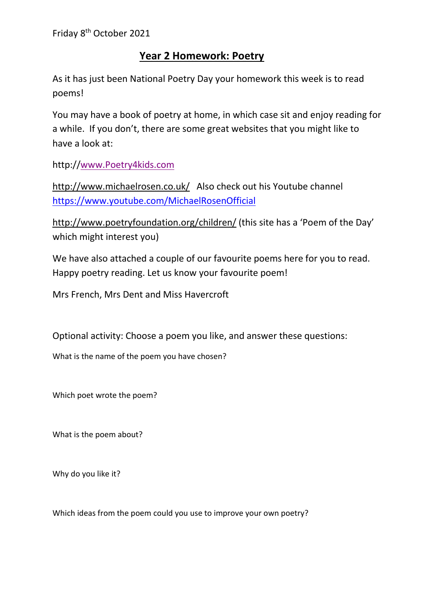## **Year 2 Homework: Poetry**

As it has just been National Poetry Day your homework this week is to read poems!

You may have a book of poetry at home, in which case sit and enjoy reading for a while. If you don't, there are some great websites that you might like to have a look at:

http:/[/www.Poetry4kids.com](http://www.poetry4kids.com/) 

<http://www.michaelrosen.co.uk/> Also check out his Youtube channel <https://www.youtube.com/MichaelRosenOfficial>

<http://www.poetryfoundation.org/children/> (this site has a 'Poem of the Day' which might interest you)

We have also attached a couple of our favourite poems here for you to read. Happy poetry reading. Let us know your favourite poem!

Mrs French, Mrs Dent and Miss Havercroft

Optional activity: Choose a poem you like, and answer these questions:

What is the name of the poem you have chosen?

Which poet wrote the poem?

What is the poem about?

Why do you like it?

Which ideas from the poem could you use to improve your own poetry?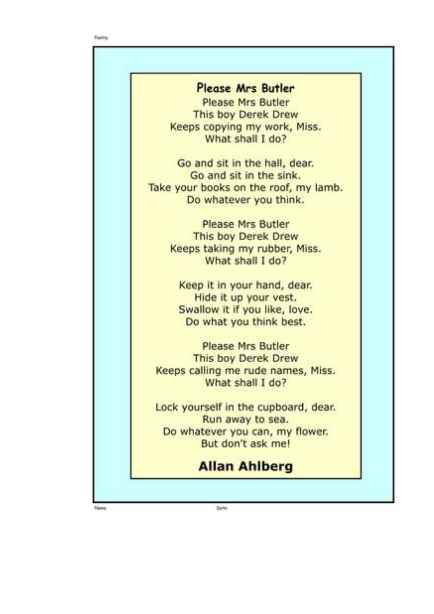| <b>Please Mrs Butler</b>              |
|---------------------------------------|
| <b>Please Mrs Butler</b>              |
| This boy Derek Drew                   |
| Keeps copying my work, Miss.          |
| What shall I do?                      |
| Go and sit in the hall, dear.         |
| Go and sit in the sink.               |
| Take your books on the roof, my lamb. |
| Do whatever you think.                |
| <b>Please Mrs Butler</b>              |
| This boy Derek Drew                   |
| Keeps taking my rubber, Miss.         |
| What shall I do?                      |
| Keep it in your hand, dear.           |
| Hide it up your vest.                 |
| Swallow it if you like, love.         |
| Do what you think best.               |
| <b>Please Mrs Butler</b>              |
| This boy Derek Drew                   |
| Keeps calling me rude names, Miss.    |
| What shall I do?                      |
| Lock yourself in the cupboard, dear.  |
| Run away to sea.                      |
| Do whatever you can, my flower.       |
| But don't ask me!                     |
| <b>Allan Ahlberg</b>                  |

Dete

None